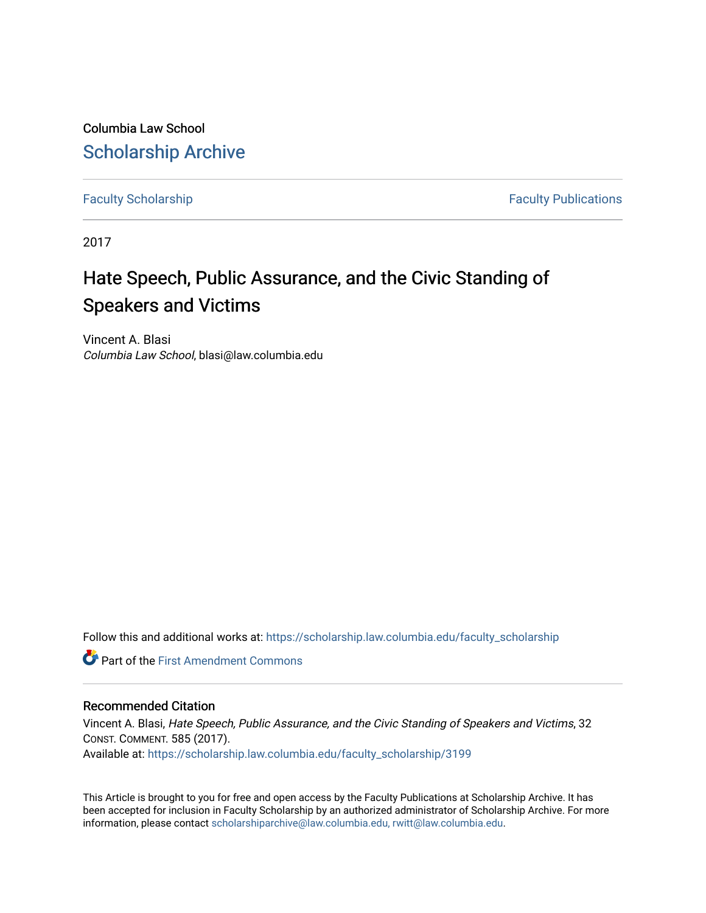Columbia Law School [Scholarship Archive](https://scholarship.law.columbia.edu/) 

[Faculty Scholarship](https://scholarship.law.columbia.edu/faculty_scholarship) **Faculty Scholarship Faculty Publications** 

2017

# Hate Speech, Public Assurance, and the Civic Standing of Speakers and Victims

Vincent A. Blasi Columbia Law School, blasi@law.columbia.edu

Follow this and additional works at: [https://scholarship.law.columbia.edu/faculty\\_scholarship](https://scholarship.law.columbia.edu/faculty_scholarship?utm_source=scholarship.law.columbia.edu%2Ffaculty_scholarship%2F3199&utm_medium=PDF&utm_campaign=PDFCoverPages)

**Part of the First Amendment Commons** 

# Recommended Citation

Vincent A. Blasi, Hate Speech, Public Assurance, and the Civic Standing of Speakers and Victims, 32 CONST. COMMENT. 585 (2017). Available at: [https://scholarship.law.columbia.edu/faculty\\_scholarship/3199](https://scholarship.law.columbia.edu/faculty_scholarship/3199?utm_source=scholarship.law.columbia.edu%2Ffaculty_scholarship%2F3199&utm_medium=PDF&utm_campaign=PDFCoverPages)

This Article is brought to you for free and open access by the Faculty Publications at Scholarship Archive. It has been accepted for inclusion in Faculty Scholarship by an authorized administrator of Scholarship Archive. For more information, please contact [scholarshiparchive@law.columbia.edu, rwitt@law.columbia.edu](mailto:scholarshiparchive@law.columbia.edu,%20rwitt@law.columbia.edu).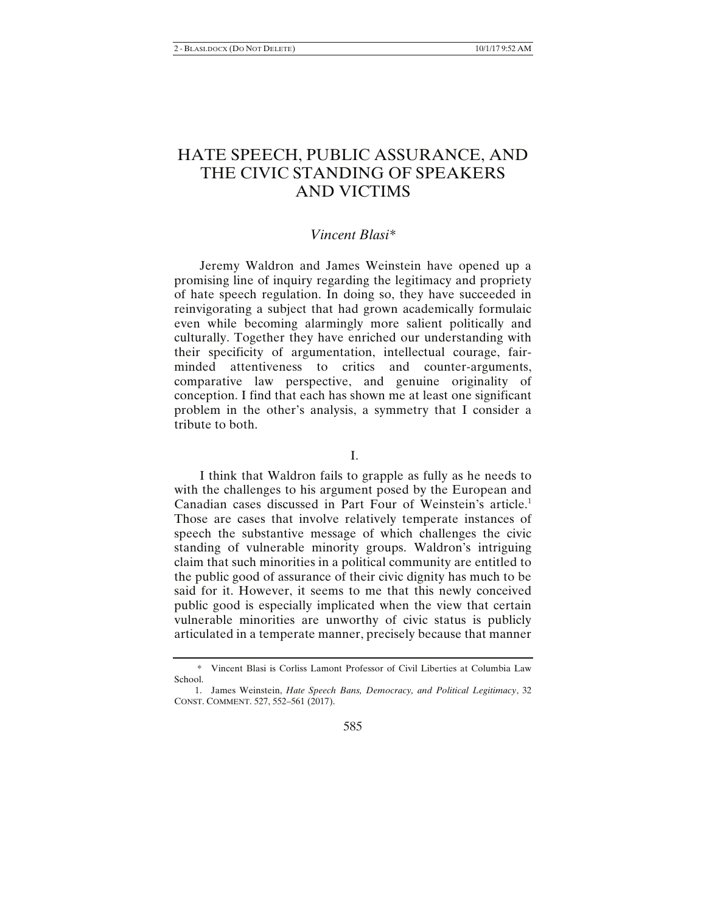# HATE SPEECH, PUBLIC ASSURANCE, AND THE CIVIC STANDING OF SPEAKERS AND VICTIMS

# *Vincent Blasi\**

Jeremy Waldron and James Weinstein have opened up a promising line of inquiry regarding the legitimacy and propriety of hate speech regulation. In doing so, they have succeeded in reinvigorating a subject that had grown academically formulaic even while becoming alarmingly more salient politically and culturally. Together they have enriched our understanding with their specificity of argumentation, intellectual courage, fairminded attentiveness to critics and counter-arguments, comparative law perspective, and genuine originality of conception. I find that each has shown me at least one significant problem in the other's analysis, a symmetry that I consider a tribute to both.

I.

I think that Waldron fails to grapple as fully as he needs to with the challenges to his argument posed by the European and Canadian cases discussed in Part Four of Weinstein's article.1 Those are cases that involve relatively temperate instances of speech the substantive message of which challenges the civic standing of vulnerable minority groups. Waldron's intriguing claim that such minorities in a political community are entitled to the public good of assurance of their civic dignity has much to be said for it. However, it seems to me that this newly conceived public good is especially implicated when the view that certain vulnerable minorities are unworthy of civic status is publicly articulated in a temperate manner, precisely because that manner

585

<sup>\*</sup> Vincent Blasi is Corliss Lamont Professor of Civil Liberties at Columbia Law School.

<sup>1.</sup> James Weinstein, *Hate Speech Bans, Democracy, and Political Legitimacy*, 32 CONST. COMMENT. 527, 552–561 (2017).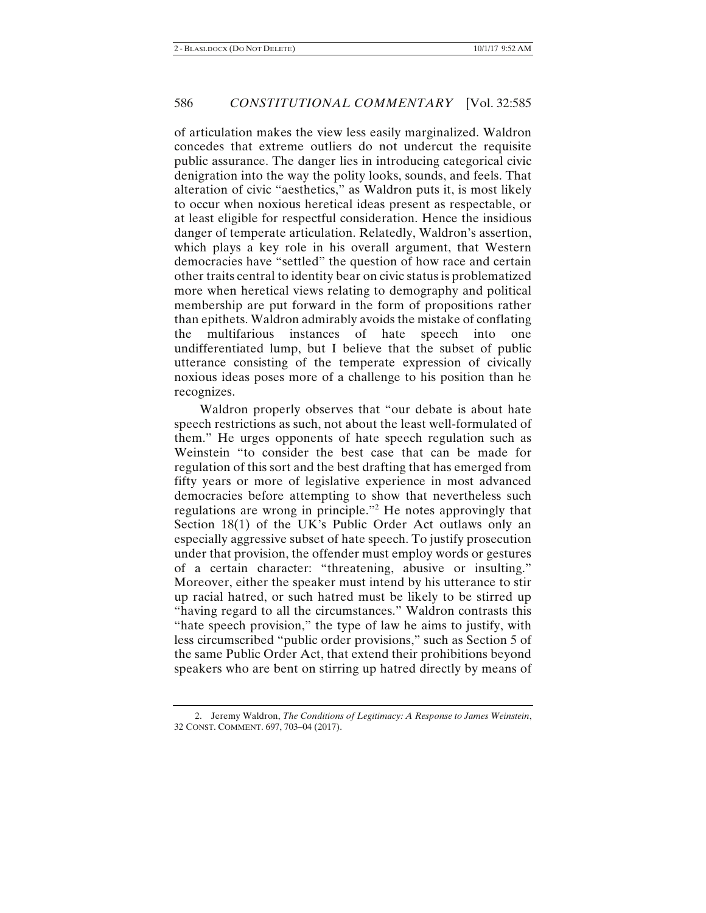of articulation makes the view less easily marginalized. Waldron concedes that extreme outliers do not undercut the requisite public assurance. The danger lies in introducing categorical civic denigration into the way the polity looks, sounds, and feels. That alteration of civic "aesthetics," as Waldron puts it, is most likely to occur when noxious heretical ideas present as respectable, or at least eligible for respectful consideration. Hence the insidious danger of temperate articulation. Relatedly, Waldron's assertion, which plays a key role in his overall argument, that Western democracies have "settled" the question of how race and certain other traits central to identity bear on civic status is problematized more when heretical views relating to demography and political membership are put forward in the form of propositions rather than epithets. Waldron admirably avoids the mistake of conflating the multifarious instances of hate speech into one undifferentiated lump, but I believe that the subset of public utterance consisting of the temperate expression of civically noxious ideas poses more of a challenge to his position than he recognizes.

Waldron properly observes that "our debate is about hate speech restrictions as such, not about the least well-formulated of them." He urges opponents of hate speech regulation such as Weinstein "to consider the best case that can be made for regulation of this sort and the best drafting that has emerged from fifty years or more of legislative experience in most advanced democracies before attempting to show that nevertheless such regulations are wrong in principle."2 He notes approvingly that Section 18(1) of the UK's Public Order Act outlaws only an especially aggressive subset of hate speech. To justify prosecution under that provision, the offender must employ words or gestures of a certain character: "threatening, abusive or insulting." Moreover, either the speaker must intend by his utterance to stir up racial hatred, or such hatred must be likely to be stirred up "having regard to all the circumstances." Waldron contrasts this "hate speech provision," the type of law he aims to justify, with less circumscribed "public order provisions," such as Section 5 of the same Public Order Act, that extend their prohibitions beyond speakers who are bent on stirring up hatred directly by means of

<sup>2.</sup> Jeremy Waldron, *The Conditions of Legitimacy: A Response to James Weinstein*, 32 CONST. COMMENT. 697, 703–04 (2017).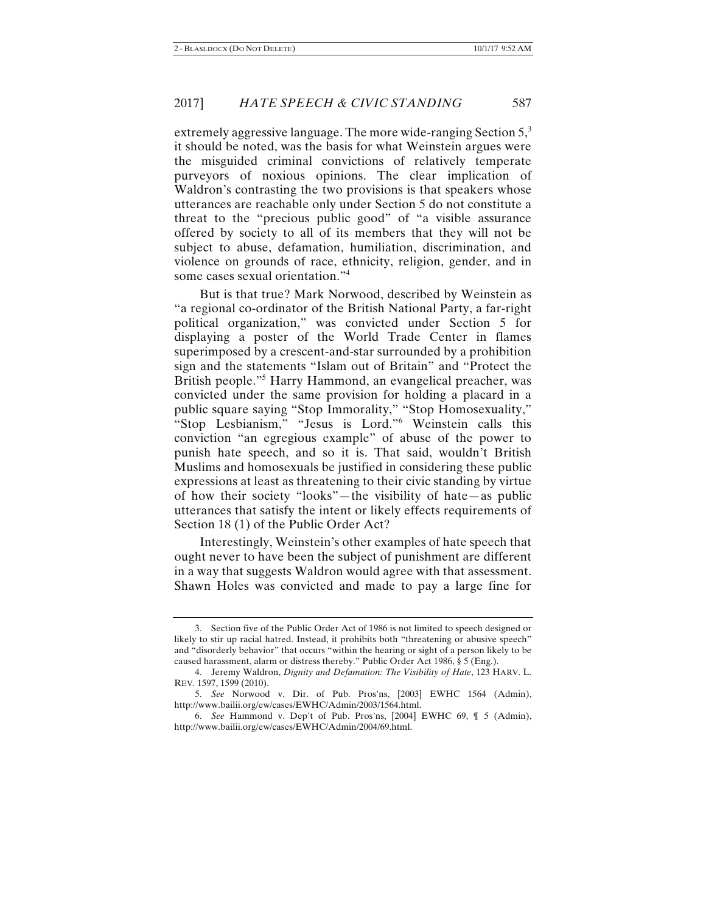extremely aggressive language. The more wide-ranging Section  $5<sup>3</sup>$ it should be noted, was the basis for what Weinstein argues were the misguided criminal convictions of relatively temperate purveyors of noxious opinions. The clear implication of Waldron's contrasting the two provisions is that speakers whose utterances are reachable only under Section 5 do not constitute a threat to the "precious public good" of "a visible assurance offered by society to all of its members that they will not be subject to abuse, defamation, humiliation, discrimination, and violence on grounds of race, ethnicity, religion, gender, and in some cases sexual orientation."4

But is that true? Mark Norwood, described by Weinstein as "a regional co-ordinator of the British National Party, a far-right political organization," was convicted under Section 5 for displaying a poster of the World Trade Center in flames superimposed by a crescent-and-star surrounded by a prohibition sign and the statements "Islam out of Britain" and "Protect the British people."<sup>5</sup> Harry Hammond, an evangelical preacher, was convicted under the same provision for holding a placard in a public square saying "Stop Immorality," "Stop Homosexuality," "Stop Lesbianism," "Jesus is Lord."6 Weinstein calls this conviction "an egregious example" of abuse of the power to punish hate speech, and so it is. That said, wouldn't British Muslims and homosexuals be justified in considering these public expressions at least as threatening to their civic standing by virtue of how their society "looks"—the visibility of hate—as public utterances that satisfy the intent or likely effects requirements of Section 18 (1) of the Public Order Act?

Interestingly, Weinstein's other examples of hate speech that ought never to have been the subject of punishment are different in a way that suggests Waldron would agree with that assessment. Shawn Holes was convicted and made to pay a large fine for

<sup>3.</sup> Section five of the Public Order Act of 1986 is not limited to speech designed or likely to stir up racial hatred. Instead, it prohibits both "threatening or abusive speech" and "disorderly behavior" that occurs "within the hearing or sight of a person likely to be caused harassment, alarm or distress thereby." Public Order Act 1986, § 5 (Eng.).

<sup>4.</sup> Jeremy Waldron, *Dignity and Defamation: The Visibility of Hate*, 123 HARV. L. REV. 1597, 1599 (2010).

<sup>5.</sup> *See* Norwood v. Dir. of Pub. Pros'ns, [2003] EWHC 1564 (Admin), http://www.bailii.org/ew/cases/EWHC/Admin/2003/1564.html.

<sup>6.</sup> *See* Hammond v. Dep't of Pub. Pros'ns, [2004] EWHC 69, ¶ 5 (Admin), http://www.bailii.org/ew/cases/EWHC/Admin/2004/69.html.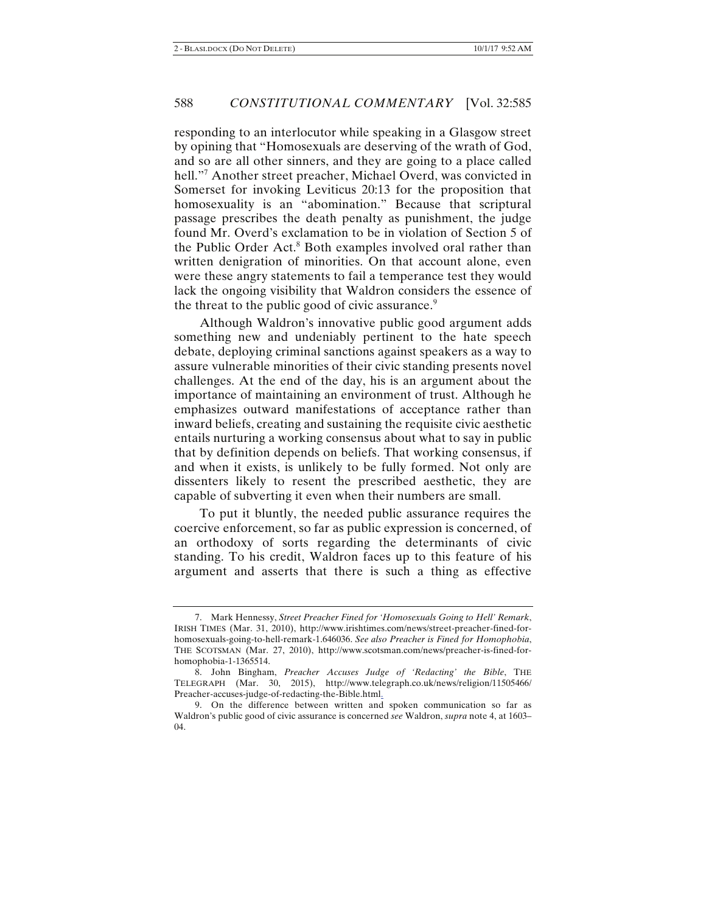responding to an interlocutor while speaking in a Glasgow street by opining that "Homosexuals are deserving of the wrath of God, and so are all other sinners, and they are going to a place called hell."<sup>7</sup> Another street preacher, Michael Overd, was convicted in Somerset for invoking Leviticus 20:13 for the proposition that homosexuality is an "abomination." Because that scriptural passage prescribes the death penalty as punishment, the judge found Mr. Overd's exclamation to be in violation of Section 5 of the Public Order Act.<sup>8</sup> Both examples involved oral rather than written denigration of minorities. On that account alone, even were these angry statements to fail a temperance test they would lack the ongoing visibility that Waldron considers the essence of the threat to the public good of civic assurance.<sup>9</sup>

Although Waldron's innovative public good argument adds something new and undeniably pertinent to the hate speech debate, deploying criminal sanctions against speakers as a way to assure vulnerable minorities of their civic standing presents novel challenges. At the end of the day, his is an argument about the importance of maintaining an environment of trust. Although he emphasizes outward manifestations of acceptance rather than inward beliefs, creating and sustaining the requisite civic aesthetic entails nurturing a working consensus about what to say in public that by definition depends on beliefs. That working consensus, if and when it exists, is unlikely to be fully formed. Not only are dissenters likely to resent the prescribed aesthetic, they are capable of subverting it even when their numbers are small.

To put it bluntly, the needed public assurance requires the coercive enforcement, so far as public expression is concerned, of an orthodoxy of sorts regarding the determinants of civic standing. To his credit, Waldron faces up to this feature of his argument and asserts that there is such a thing as effective

<sup>7.</sup> Mark Hennessy, *Street Preacher Fined for 'Homosexuals Going to Hell' Remark*, IRISH TIMES (Mar. 31, 2010), http://www.irishtimes.com/news/street-preacher-fined-forhomosexuals-going-to-hell-remark-1.646036. *See also Preacher is Fined for Homophobia*, THE SCOTSMAN (Mar. 27, 2010), http://www.scotsman.com/news/preacher-is-fined-forhomophobia-1-1365514.

<sup>8.</sup> John Bingham, *Preacher Accuses Judge of 'Redacting' the Bible*, THE TELEGRAPH (Mar. 30, 2015), http://www.telegraph.co.uk/news/religion/11505466/ Preacher-accuses-judge-of-redacting-the-Bible.html.

<sup>9.</sup> On the difference between written and spoken communication so far as Waldron's public good of civic assurance is concerned *see* Waldron, *supra* note 4, at 1603– 04.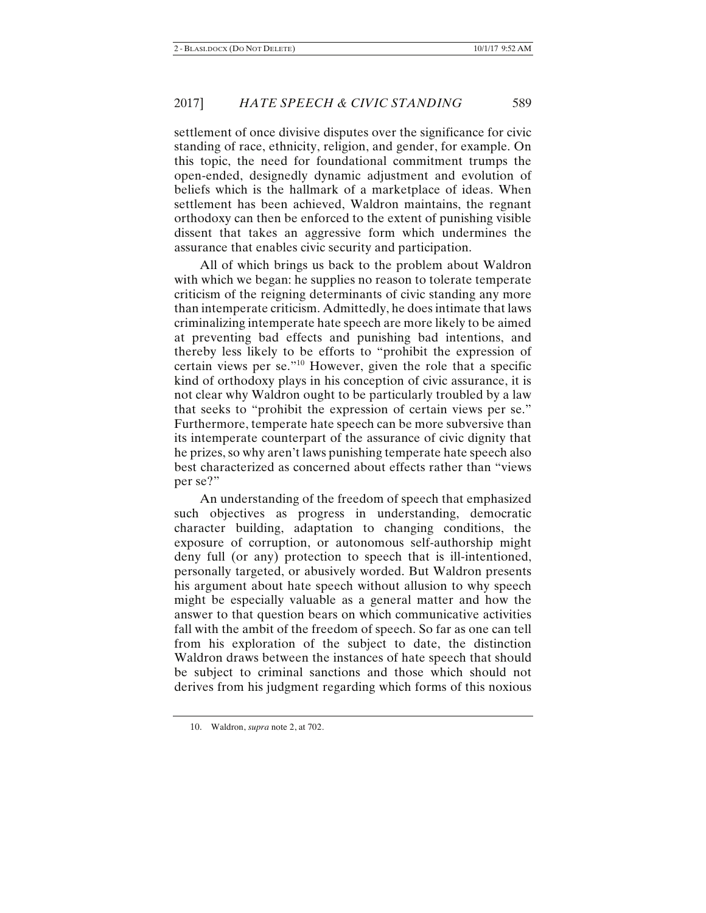settlement of once divisive disputes over the significance for civic standing of race, ethnicity, religion, and gender, for example. On this topic, the need for foundational commitment trumps the open-ended, designedly dynamic adjustment and evolution of beliefs which is the hallmark of a marketplace of ideas. When settlement has been achieved, Waldron maintains, the regnant orthodoxy can then be enforced to the extent of punishing visible dissent that takes an aggressive form which undermines the assurance that enables civic security and participation.

All of which brings us back to the problem about Waldron with which we began: he supplies no reason to tolerate temperate criticism of the reigning determinants of civic standing any more than intemperate criticism. Admittedly, he does intimate that laws criminalizing intemperate hate speech are more likely to be aimed at preventing bad effects and punishing bad intentions, and thereby less likely to be efforts to "prohibit the expression of certain views per se."10 However, given the role that a specific kind of orthodoxy plays in his conception of civic assurance, it is not clear why Waldron ought to be particularly troubled by a law that seeks to "prohibit the expression of certain views per se." Furthermore, temperate hate speech can be more subversive than its intemperate counterpart of the assurance of civic dignity that he prizes, so why aren't laws punishing temperate hate speech also best characterized as concerned about effects rather than "views per se?"

An understanding of the freedom of speech that emphasized such objectives as progress in understanding, democratic character building, adaptation to changing conditions, the exposure of corruption, or autonomous self-authorship might deny full (or any) protection to speech that is ill-intentioned, personally targeted, or abusively worded. But Waldron presents his argument about hate speech without allusion to why speech might be especially valuable as a general matter and how the answer to that question bears on which communicative activities fall with the ambit of the freedom of speech. So far as one can tell from his exploration of the subject to date, the distinction Waldron draws between the instances of hate speech that should be subject to criminal sanctions and those which should not derives from his judgment regarding which forms of this noxious

<sup>10.</sup> Waldron, *supra* note 2, at 702.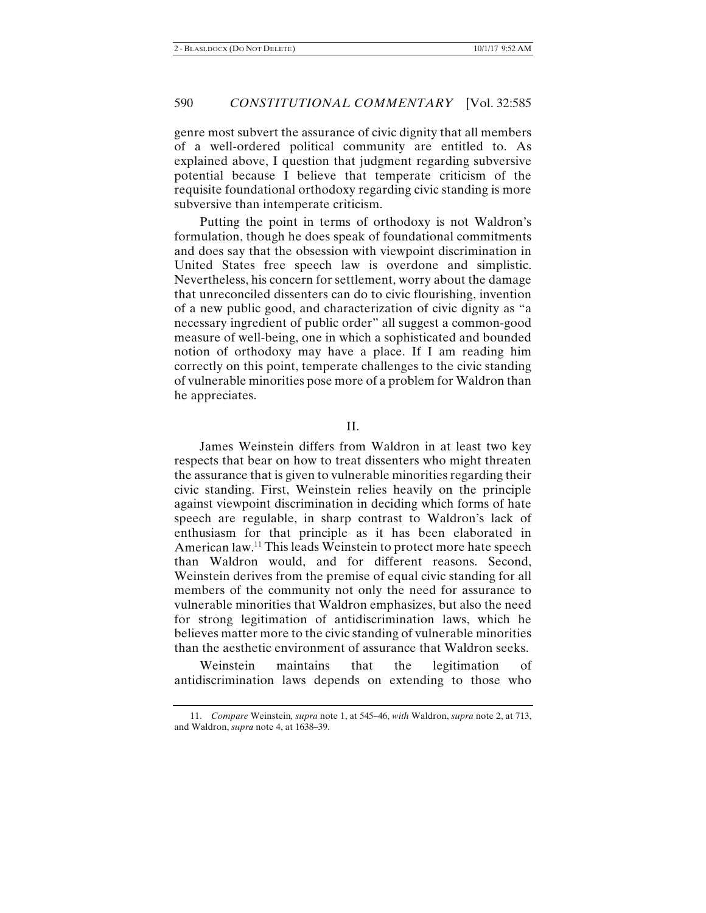genre most subvert the assurance of civic dignity that all members of a well-ordered political community are entitled to. As explained above, I question that judgment regarding subversive potential because I believe that temperate criticism of the requisite foundational orthodoxy regarding civic standing is more subversive than intemperate criticism.

Putting the point in terms of orthodoxy is not Waldron's formulation, though he does speak of foundational commitments and does say that the obsession with viewpoint discrimination in United States free speech law is overdone and simplistic. Nevertheless, his concern for settlement, worry about the damage that unreconciled dissenters can do to civic flourishing, invention of a new public good, and characterization of civic dignity as "a necessary ingredient of public order" all suggest a common-good measure of well-being, one in which a sophisticated and bounded notion of orthodoxy may have a place. If I am reading him correctly on this point, temperate challenges to the civic standing of vulnerable minorities pose more of a problem for Waldron than he appreciates.

II.

James Weinstein differs from Waldron in at least two key respects that bear on how to treat dissenters who might threaten the assurance that is given to vulnerable minorities regarding their civic standing. First, Weinstein relies heavily on the principle against viewpoint discrimination in deciding which forms of hate speech are regulable, in sharp contrast to Waldron's lack of enthusiasm for that principle as it has been elaborated in American law.11 This leads Weinstein to protect more hate speech than Waldron would, and for different reasons. Second, Weinstein derives from the premise of equal civic standing for all members of the community not only the need for assurance to vulnerable minorities that Waldron emphasizes, but also the need for strong legitimation of antidiscrimination laws, which he believes matter more to the civic standing of vulnerable minorities than the aesthetic environment of assurance that Waldron seeks.

Weinstein maintains that the legitimation of antidiscrimination laws depends on extending to those who

<sup>11.</sup> *Compare* Weinstein*, supra* note 1, at 545–46, *with* Waldron, *supra* note 2, at 713, and Waldron, *supra* note 4, at 1638–39.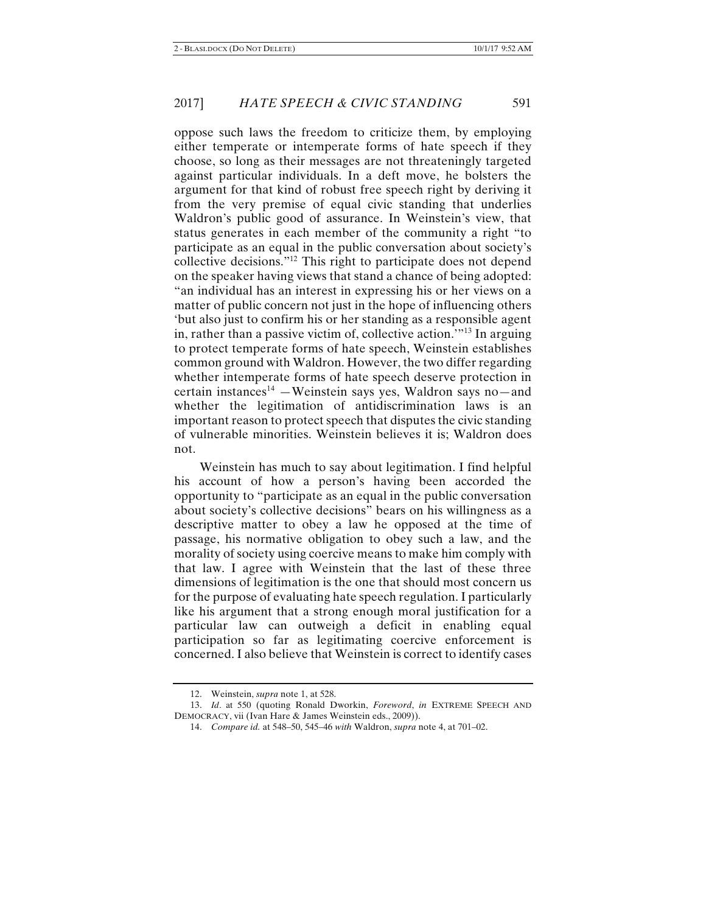oppose such laws the freedom to criticize them, by employing either temperate or intemperate forms of hate speech if they choose, so long as their messages are not threateningly targeted against particular individuals. In a deft move, he bolsters the argument for that kind of robust free speech right by deriving it from the very premise of equal civic standing that underlies Waldron's public good of assurance. In Weinstein's view, that status generates in each member of the community a right "to participate as an equal in the public conversation about society's collective decisions."12 This right to participate does not depend on the speaker having views that stand a chance of being adopted: "an individual has an interest in expressing his or her views on a matter of public concern not just in the hope of influencing others 'but also just to confirm his or her standing as a responsible agent in, rather than a passive victim of, collective action.'"13 In arguing to protect temperate forms of hate speech, Weinstein establishes common ground with Waldron. However, the two differ regarding whether intemperate forms of hate speech deserve protection in certain instances<sup>14</sup> —Weinstein says yes, Waldron says no—and whether the legitimation of antidiscrimination laws is an important reason to protect speech that disputes the civic standing of vulnerable minorities. Weinstein believes it is; Waldron does not.

Weinstein has much to say about legitimation. I find helpful his account of how a person's having been accorded the opportunity to "participate as an equal in the public conversation about society's collective decisions" bears on his willingness as a descriptive matter to obey a law he opposed at the time of passage, his normative obligation to obey such a law, and the morality of society using coercive means to make him comply with that law. I agree with Weinstein that the last of these three dimensions of legitimation is the one that should most concern us for the purpose of evaluating hate speech regulation. I particularly like his argument that a strong enough moral justification for a particular law can outweigh a deficit in enabling equal participation so far as legitimating coercive enforcement is concerned. I also believe that Weinstein is correct to identify cases

<sup>12.</sup> Weinstein, *supra* note 1, at 528.

<sup>13.</sup> *Id.* at 550 (quoting Ronald Dworkin, *Foreword*, *in* EXTREME SPEECH AND DEMOCRACY, vii (Ivan Hare & James Weinstein eds., 2009)).

<sup>14.</sup> *Compare id.* at 548–50, 545–46 *with* Waldron, *supra* note 4, at 701–02.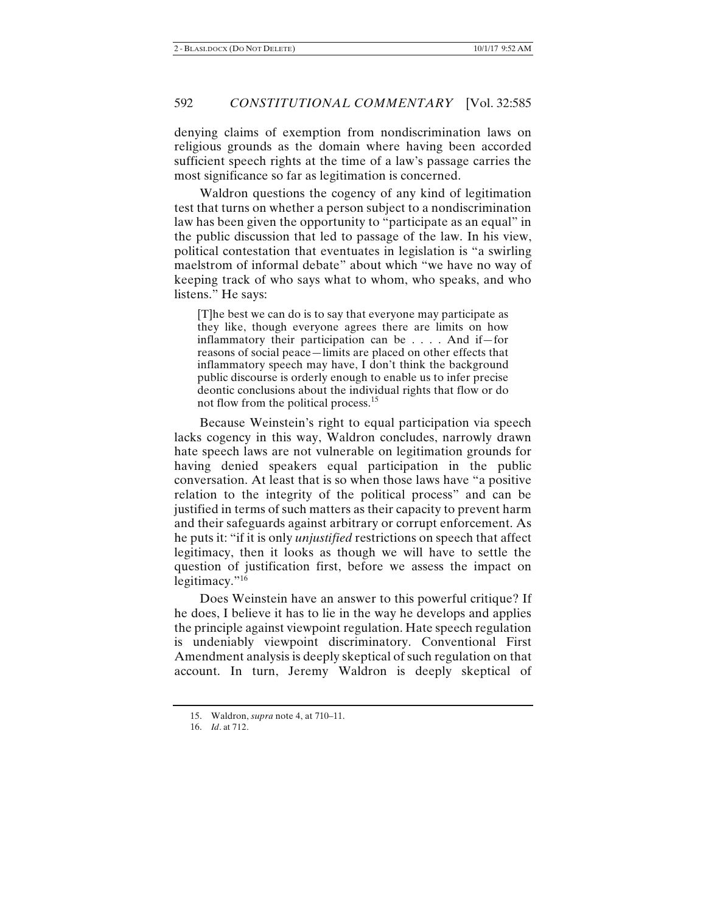denying claims of exemption from nondiscrimination laws on religious grounds as the domain where having been accorded sufficient speech rights at the time of a law's passage carries the most significance so far as legitimation is concerned.

Waldron questions the cogency of any kind of legitimation test that turns on whether a person subject to a nondiscrimination law has been given the opportunity to "participate as an equal" in the public discussion that led to passage of the law. In his view, political contestation that eventuates in legislation is "a swirling maelstrom of informal debate" about which "we have no way of keeping track of who says what to whom, who speaks, and who listens." He says:

[T]he best we can do is to say that everyone may participate as they like, though everyone agrees there are limits on how inflammatory their participation can be . . . . And if—for reasons of social peace—limits are placed on other effects that inflammatory speech may have, I don't think the background public discourse is orderly enough to enable us to infer precise deontic conclusions about the individual rights that flow or do not flow from the political process.<sup>15</sup>

Because Weinstein's right to equal participation via speech lacks cogency in this way, Waldron concludes, narrowly drawn hate speech laws are not vulnerable on legitimation grounds for having denied speakers equal participation in the public conversation. At least that is so when those laws have "a positive relation to the integrity of the political process" and can be justified in terms of such matters as their capacity to prevent harm and their safeguards against arbitrary or corrupt enforcement. As he puts it: "if it is only *unjustified* restrictions on speech that affect legitimacy, then it looks as though we will have to settle the question of justification first, before we assess the impact on legitimacy."<sup>16</sup>

Does Weinstein have an answer to this powerful critique? If he does, I believe it has to lie in the way he develops and applies the principle against viewpoint regulation. Hate speech regulation is undeniably viewpoint discriminatory. Conventional First Amendment analysis is deeply skeptical of such regulation on that account. In turn, Jeremy Waldron is deeply skeptical of

<sup>15.</sup> Waldron, *supra* note 4, at 710–11.

<sup>16.</sup> *Id.* at 712.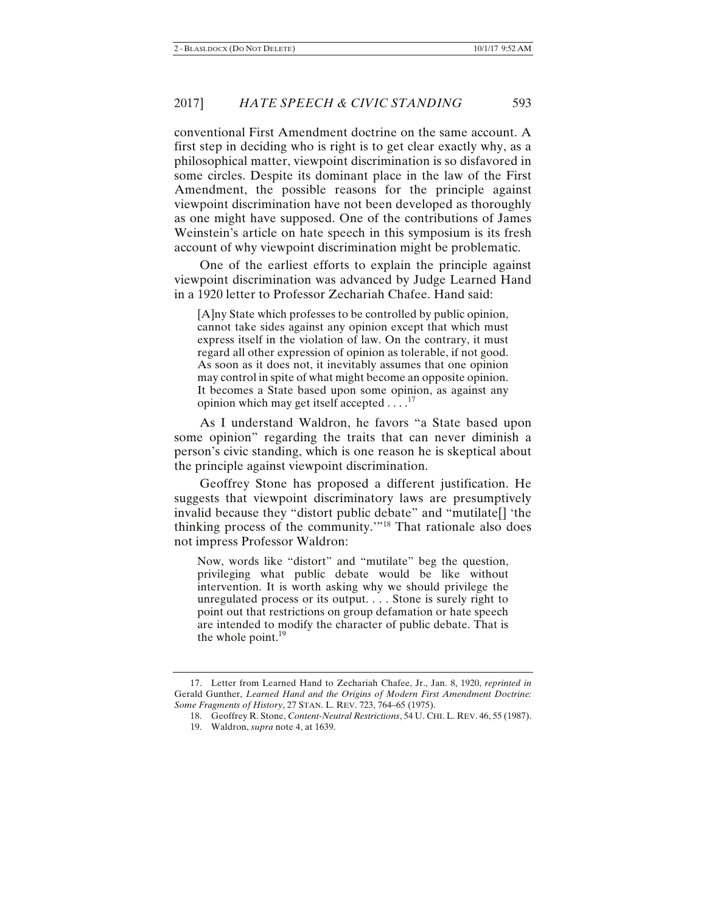conventional First Amendment doctrine on the same account. A first step in deciding who is right is to get clear exactly why, as a philosophical matter, viewpoint discrimination is so disfavored in some circles. Despite its dominant place in the law of the First Amendment, the possible reasons for the principle against viewpoint discrimination have not been developed as thoroughly as one might have supposed. One of the contributions of James Weinstein's article on hate speech in this symposium is its fresh account of why viewpoint discrimination might be problematic.

One of the earliest efforts to explain the principle against viewpoint discrimination was advanced by Judge Learned Hand in a 1920 letter to Professor Zechariah Chafee. Hand said:

[A]ny State which professes to be controlled by public opinion, cannot take sides against any opinion except that which must express itself in the violation of law. On the contrary, it must regard all other expression of opinion as tolerable, if not good. As soon as it does not, it inevitably assumes that one opinion may control in spite of what might become an opposite opinion. It becomes a State based upon some opinion, as against any opinion which may get itself accepted  $\dots$ <sup>17</sup>

As I understand Waldron, he favors "a State based upon some opinion" regarding the traits that can never diminish a person's civic standing, which is one reason he is skeptical about the principle against viewpoint discrimination.

Geoffrey Stone has proposed a different justification. He suggests that viewpoint discriminatory laws are presumptively invalid because they "distort public debate" and "mutilate[] 'the thinking process of the community.'"18 That rationale also does not impress Professor Waldron:

Now, words like "distort" and "mutilate" beg the question, privileging what public debate would be like without intervention. It is worth asking why we should privilege the unregulated process or its output. . . . Stone is surely right to point out that restrictions on group defamation or hate speech are intended to modify the character of public debate. That is the whole point.<sup>19</sup>

<sup>17.</sup> Letter from Learned Hand to Zechariah Chafee, Jr., Jan. 8, 1920, *reprinted in* Gerald Gunther, *Learned Hand and the Origins of Modern First Amendment Doctrine: Some Fragments of History*, 27 STAN. L. REV. 723, 764–65 (1975).

<sup>18.</sup> Geoffrey R. Stone, *Content-Neutral Restrictions*, 54 U. CHI. L. REV. 46, 55 (1987). 19. Waldron, *supra* note 4, at 1639.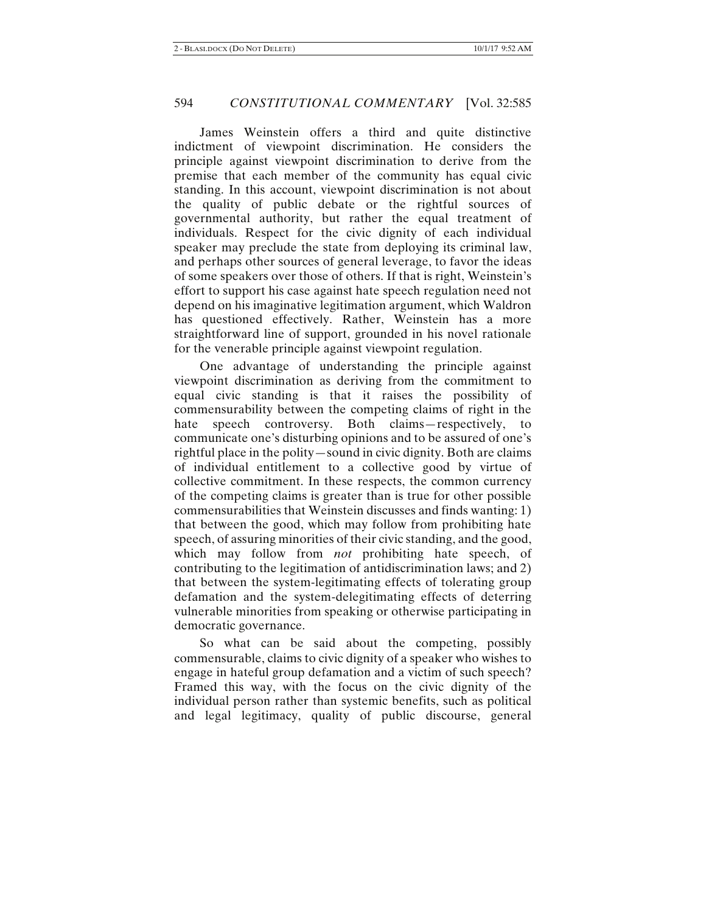James Weinstein offers a third and quite distinctive indictment of viewpoint discrimination. He considers the principle against viewpoint discrimination to derive from the premise that each member of the community has equal civic standing. In this account, viewpoint discrimination is not about the quality of public debate or the rightful sources of governmental authority, but rather the equal treatment of individuals. Respect for the civic dignity of each individual speaker may preclude the state from deploying its criminal law, and perhaps other sources of general leverage, to favor the ideas of some speakers over those of others. If that is right, Weinstein's effort to support his case against hate speech regulation need not depend on his imaginative legitimation argument, which Waldron has questioned effectively. Rather, Weinstein has a more straightforward line of support, grounded in his novel rationale for the venerable principle against viewpoint regulation.

One advantage of understanding the principle against viewpoint discrimination as deriving from the commitment to equal civic standing is that it raises the possibility of commensurability between the competing claims of right in the hate speech controversy. Both claims—respectively, to communicate one's disturbing opinions and to be assured of one's rightful place in the polity—sound in civic dignity. Both are claims of individual entitlement to a collective good by virtue of collective commitment. In these respects, the common currency of the competing claims is greater than is true for other possible commensurabilities that Weinstein discusses and finds wanting: 1) that between the good, which may follow from prohibiting hate speech, of assuring minorities of their civic standing, and the good, which may follow from *not* prohibiting hate speech, of contributing to the legitimation of antidiscrimination laws; and 2) that between the system-legitimating effects of tolerating group defamation and the system-delegitimating effects of deterring vulnerable minorities from speaking or otherwise participating in democratic governance.

So what can be said about the competing, possibly commensurable, claims to civic dignity of a speaker who wishes to engage in hateful group defamation and a victim of such speech? Framed this way, with the focus on the civic dignity of the individual person rather than systemic benefits, such as political and legal legitimacy, quality of public discourse, general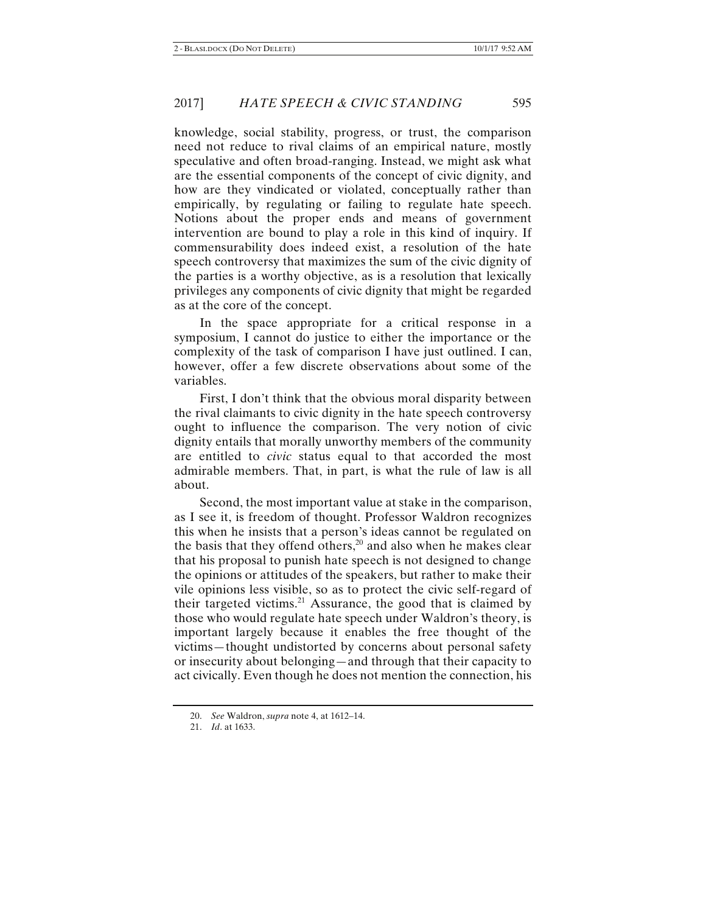knowledge, social stability, progress, or trust, the comparison need not reduce to rival claims of an empirical nature, mostly speculative and often broad-ranging. Instead, we might ask what are the essential components of the concept of civic dignity, and how are they vindicated or violated, conceptually rather than empirically, by regulating or failing to regulate hate speech. Notions about the proper ends and means of government intervention are bound to play a role in this kind of inquiry. If commensurability does indeed exist, a resolution of the hate speech controversy that maximizes the sum of the civic dignity of the parties is a worthy objective, as is a resolution that lexically privileges any components of civic dignity that might be regarded as at the core of the concept.

In the space appropriate for a critical response in a symposium, I cannot do justice to either the importance or the complexity of the task of comparison I have just outlined. I can, however, offer a few discrete observations about some of the variables.

First, I don't think that the obvious moral disparity between the rival claimants to civic dignity in the hate speech controversy ought to influence the comparison. The very notion of civic dignity entails that morally unworthy members of the community are entitled to *civic* status equal to that accorded the most admirable members. That, in part, is what the rule of law is all about.

Second, the most important value at stake in the comparison, as I see it, is freedom of thought. Professor Waldron recognizes this when he insists that a person's ideas cannot be regulated on the basis that they offend others,<sup>20</sup> and also when he makes clear that his proposal to punish hate speech is not designed to change the opinions or attitudes of the speakers, but rather to make their vile opinions less visible, so as to protect the civic self-regard of their targeted victims.<sup>21</sup> Assurance, the good that is claimed by those who would regulate hate speech under Waldron's theory, is important largely because it enables the free thought of the victims—thought undistorted by concerns about personal safety or insecurity about belonging—and through that their capacity to act civically. Even though he does not mention the connection, his

<sup>20.</sup> *See* Waldron, *supra* note 4, at 1612–14.

<sup>21.</sup> *Id*. at 1633.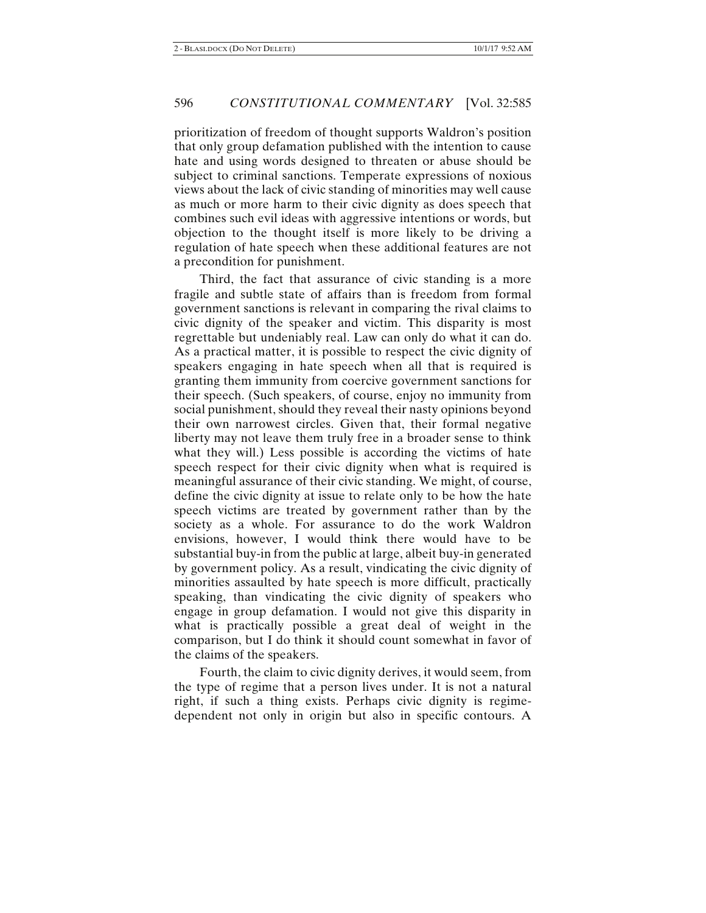prioritization of freedom of thought supports Waldron's position that only group defamation published with the intention to cause hate and using words designed to threaten or abuse should be subject to criminal sanctions. Temperate expressions of noxious views about the lack of civic standing of minorities may well cause as much or more harm to their civic dignity as does speech that combines such evil ideas with aggressive intentions or words, but objection to the thought itself is more likely to be driving a regulation of hate speech when these additional features are not a precondition for punishment.

Third, the fact that assurance of civic standing is a more fragile and subtle state of affairs than is freedom from formal government sanctions is relevant in comparing the rival claims to civic dignity of the speaker and victim. This disparity is most regrettable but undeniably real. Law can only do what it can do. As a practical matter, it is possible to respect the civic dignity of speakers engaging in hate speech when all that is required is granting them immunity from coercive government sanctions for their speech. (Such speakers, of course, enjoy no immunity from social punishment, should they reveal their nasty opinions beyond their own narrowest circles. Given that, their formal negative liberty may not leave them truly free in a broader sense to think what they will.) Less possible is according the victims of hate speech respect for their civic dignity when what is required is meaningful assurance of their civic standing. We might, of course, define the civic dignity at issue to relate only to be how the hate speech victims are treated by government rather than by the society as a whole. For assurance to do the work Waldron envisions, however, I would think there would have to be substantial buy-in from the public at large, albeit buy-in generated by government policy. As a result, vindicating the civic dignity of minorities assaulted by hate speech is more difficult, practically speaking, than vindicating the civic dignity of speakers who engage in group defamation. I would not give this disparity in what is practically possible a great deal of weight in the comparison, but I do think it should count somewhat in favor of the claims of the speakers.

Fourth, the claim to civic dignity derives, it would seem, from the type of regime that a person lives under. It is not a natural right, if such a thing exists. Perhaps civic dignity is regimedependent not only in origin but also in specific contours. A